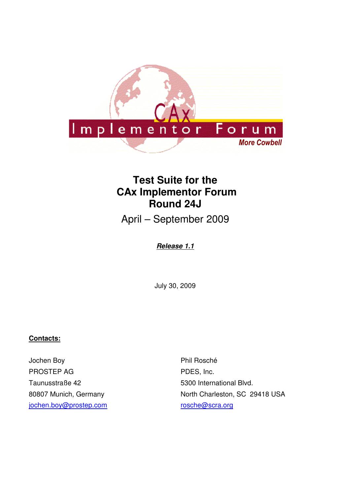

# **Test Suite for the CAx Implementor Forum Round 24J**

April – September 2009

**Release 1.1**

July 30, 2009

#### **Contacts:**

Jochen Boy PROSTEP AG Taunusstraße 42 80807 Munich, Germany jochen.boy@prostep.com

Phil Rosché PDES, Inc. 5300 International Blvd. North Charleston, SC 29418 USA rosche@scra.org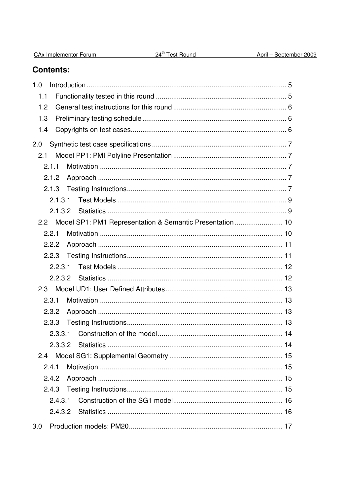| CA <sub>x</sub> Implementor Forum |  |
|-----------------------------------|--|
|                                   |  |

## **Contents:**

| 1.0                                                           |  |
|---------------------------------------------------------------|--|
| 1.1                                                           |  |
| 1.2                                                           |  |
| 1.3                                                           |  |
| 1.4                                                           |  |
| 2.0                                                           |  |
| 2.1                                                           |  |
| 2.1.1                                                         |  |
| 2.1.2                                                         |  |
| 2.1.3                                                         |  |
| 2.1.3.1                                                       |  |
|                                                               |  |
| 2.2 Model SP1: PM1 Representation & Semantic Presentation  10 |  |
| 2.2.1                                                         |  |
| 2.2.2                                                         |  |
| 2.2.3                                                         |  |
| 2.2.3.1                                                       |  |
|                                                               |  |
| 2.3                                                           |  |
| 2.3.1                                                         |  |
| 2.3.2                                                         |  |
| 2.3.3                                                         |  |
| 2.3.3.1                                                       |  |
|                                                               |  |
| 2.4                                                           |  |
| 2.4.1                                                         |  |
| 2.4.2                                                         |  |
| 2.4.3                                                         |  |
| 2.4.3.1                                                       |  |
|                                                               |  |
| 3.0                                                           |  |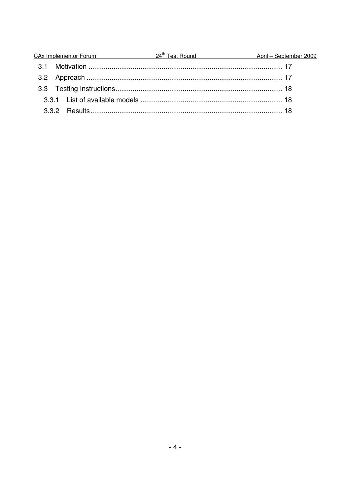|  | CAx Implementor Forum 24 <sup>th</sup> Test Round | April - September 2009 |
|--|---------------------------------------------------|------------------------|
|  |                                                   |                        |
|  |                                                   |                        |
|  |                                                   |                        |
|  |                                                   |                        |
|  |                                                   |                        |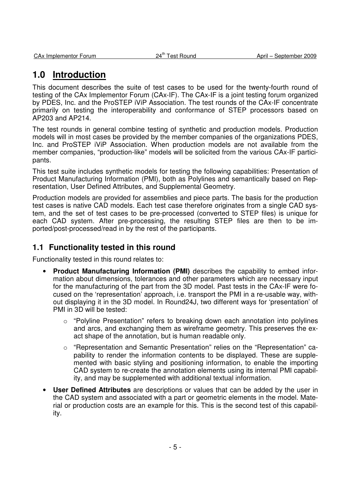## **1.0 Introduction**

This document describes the suite of test cases to be used for the twenty-fourth round of testing of the CAx Implementor Forum (CAx-IF). The CAx-IF is a joint testing forum organized by PDES, Inc. and the ProSTEP iViP Association. The test rounds of the CAx-IF concentrate primarily on testing the interoperability and conformance of STEP processors based on AP203 and AP214.

The test rounds in general combine testing of synthetic and production models. Production models will in most cases be provided by the member companies of the organizations PDES, Inc. and ProSTEP iViP Association. When production models are not available from the member companies, "production-like" models will be solicited from the various CAx-IF participants.

This test suite includes synthetic models for testing the following capabilities: Presentation of Product Manufacturing Information (PMI), both as Polylines and semantically based on Representation, User Defined Attributes, and Supplemental Geometry.

Production models are provided for assemblies and piece parts. The basis for the production test cases is native CAD models. Each test case therefore originates from a single CAD system, and the set of test cases to be pre-processed (converted to STEP files) is unique for each CAD system. After pre-processing, the resulting STEP files are then to be imported/post-processed/read in by the rest of the participants.

### **1.1 Functionality tested in this round**

Functionality tested in this round relates to:

- **Product Manufacturing Information (PMI)** describes the capability to embed information about dimensions, tolerances and other parameters which are necessary input for the manufacturing of the part from the 3D model. Past tests in the CAx-IF were focused on the 'representation' approach, i.e. transport the PMI in a re-usable way, without displaying it in the 3D model. In Round24J, two different ways for 'presentation' of PMI in 3D will be tested:
	- o "Polyline Presentation" refers to breaking down each annotation into polylines and arcs, and exchanging them as wireframe geometry. This preserves the exact shape of the annotation, but is human readable only.
	- o "Representation and Semantic Presentation" relies on the "Representation" capability to render the information contents to be displayed. These are supplemented with basic styling and positioning information, to enable the importing CAD system to re-create the annotation elements using its internal PMI capability, and may be supplemented with additional textual information.
- **User Defined Attributes** are descriptions or values that can be added by the user in the CAD system and associated with a part or geometric elements in the model. Material or production costs are an example for this. This is the second test of this capability.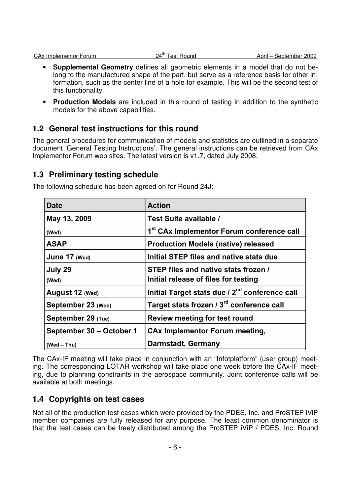- **Supplemental Geometry** defines all geometric elements in a model that do not belong to the manufactured shape of the part, but serve as a reference basis for other information, such as the center line of a hole for example. This will be the second test of this functionality.
- **Production Models** are included in this round of testing in addition to the synthetic models for the above capabilities.

### **1.2 General test instructions for this round**

The general procedures for communication of models and statistics are outlined in a separate document 'General Testing Instructions'. The general instructions can be retrieved from CAx Implementor Forum web sites. The latest version is v1.7, dated July 2008.

### **1.3 Preliminary testing schedule**

| <b>Date</b>              | <b>Action</b>                                              |
|--------------------------|------------------------------------------------------------|
| May 13, 2009             | Test Suite available /                                     |
| (Wed)                    | 1 <sup>st</sup> CAx Implementor Forum conference call      |
| <b>ASAP</b>              | <b>Production Models (native) released</b>                 |
| June 17 (Wed)            | Initial STEP files and native stats due                    |
| July 29                  | STEP files and native stats frozen /                       |
| (Wed)                    | Initial release of files for testing                       |
| August 12 (Wed)          | Initial Target stats due / 2 <sup>nd</sup> conference call |
| September 23 (Wed)       | Target stats frozen / 3 <sup>rd</sup> conference call      |
| September 29 (Tue)       | <b>Review meeting for test round</b>                       |
| September 30 - October 1 | <b>CAx Implementor Forum meeting,</b>                      |
| $(Wed - Thu)$            | <b>Darmstadt, Germany</b>                                  |

The following schedule has been agreed on for Round 24J:

The CAx-IF meeting will take place in conjunction with an "Infotplatform" (user group) meeting. The corresponding LOTAR workshop will take place one week before the CAx-IF meeting, due to planning constraints in the aerospace community. Joint conference calls will be available at both meetings.

### **1.4 Copyrights on test cases**

Not all of the production test cases which were provided by the PDES, Inc. and ProSTEP iViP member companies are fully released for any purpose. The least common denominator is that the test cases can be freely distributed among the ProSTEP iViP / PDES, Inc. Round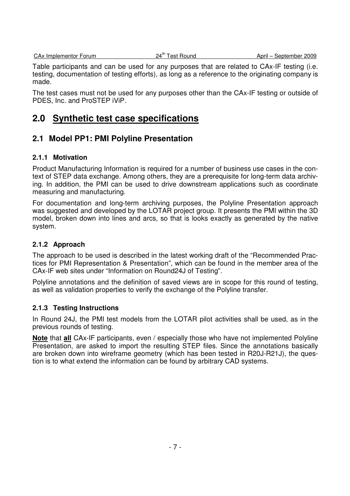CAx Implementor Forum 24<sup>th</sup> Test Round April – September 2009

Table participants and can be used for any purposes that are related to CAx-IF testing (i.e. testing, documentation of testing efforts), as long as a reference to the originating company is made.

The test cases must not be used for any purposes other than the CAx-IF testing or outside of PDES, Inc. and ProSTEP iViP.

## **2.0 Synthetic test case specifications**

### **2.1 Model PP1: PMI Polyline Presentation**

#### **2.1.1 Motivation**

Product Manufacturing Information is required for a number of business use cases in the context of STEP data exchange. Among others, they are a prerequisite for long-term data archiving. In addition, the PMI can be used to drive downstream applications such as coordinate measuring and manufacturing.

For documentation and long-term archiving purposes, the Polyline Presentation approach was suggested and developed by the LOTAR project group. It presents the PMI within the 3D model, broken down into lines and arcs, so that is looks exactly as generated by the native system.

#### **2.1.2 Approach**

The approach to be used is described in the latest working draft of the "Recommended Practices for PMI Representation & Presentation", which can be found in the member area of the CAx-IF web sites under "Information on Round24J of Testing".

Polyline annotations and the definition of saved views are in scope for this round of testing, as well as validation properties to verify the exchange of the Polyline transfer.

### **2.1.3 Testing Instructions**

In Round 24J, the PMI test models from the LOTAR pilot activities shall be used, as in the previous rounds of testing.

**Note** that **all** CAx-IF participants, even / especially those who have not implemented Polyline Presentation, are asked to import the resulting STEP files. Since the annotations basically are broken down into wireframe geometry (which has been tested in R20J-R21J), the question is to what extend the information can be found by arbitrary CAD systems.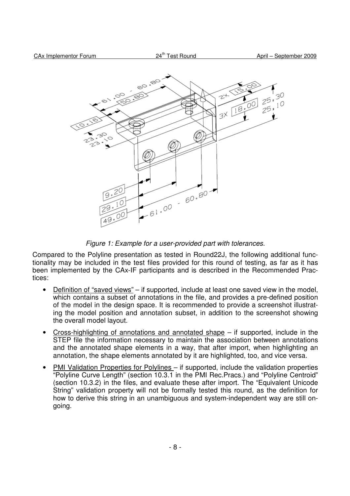

Figure 1: Example for a user-provided part with tolerances.

Compared to the Polyline presentation as tested in Round22J, the following additional functionality may be included in the test files provided for this round of testing, as far as it has been implemented by the CAx-IF participants and is described in the Recommended Practices:

- Definition of "saved views" if supported, include at least one saved view in the model, which contains a subset of annotations in the file, and provides a pre-defined position of the model in the design space. It is recommended to provide a screenshot illustrating the model position and annotation subset, in addition to the screenshot showing the overall model layout.
- Cross-highlighting of annotations and annotated shape  $-$  if supported, include in the STEP file the information necessary to maintain the association between annotations and the annotated shape elements in a way, that after import, when highlighting an annotation, the shape elements annotated by it are highlighted, too, and vice versa.
- PMI Validation Properties for Polylines if supported, include the validation properties "Polyline Curve Length" (section 10.3.1 in the PMI Rec.Pracs.) and "Polyline Centroid" (section 10.3.2) in the files, and evaluate these after import. The "Equivalent Unicode String" validation property will not be formally tested this round, as the definition for how to derive this string in an unambiguous and system-independent way are still ongoing.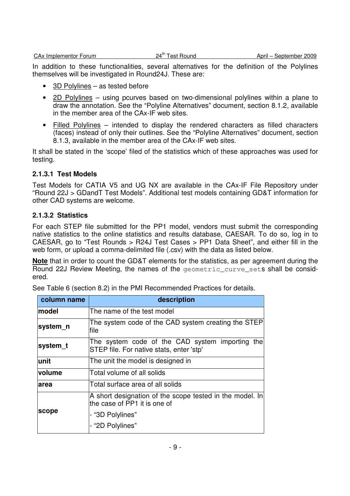In addition to these functionalities, several alternatives for the definition of the Polylines themselves will be investigated in Round24J. These are:

- 3D Polylines as tested before
- 2D Polylines using pcurves based on two-dimensional polylines within a plane to draw the annotation. See the "Polyline Alternatives" document, section 8.1.2, available in the member area of the CAx-IF web sites.
- Filled Polylines intended to display the rendered characters as filled characters (faces) instead of only their outlines. See the "Polyline Alternatives" document, section 8.1.3, available in the member area of the CAx-IF web sites.

It shall be stated in the 'scope' filed of the statistics which of these approaches was used for testing.

#### **2.1.3.1 Test Models**

Test Models for CATIA V5 and UG NX are available in the CAx-IF File Repository under "Round 22J > GDandT Test Models". Additional test models containing GD&T information for other CAD systems are welcome.

#### **2.1.3.2 Statistics**

For each STEP file submitted for the PP1 model, vendors must submit the corresponding native statistics to the online statistics and results database, CAESAR. To do so, log in to CAESAR, go to "Test Rounds > R24J Test Cases > PP1 Data Sheet", and either fill in the web form, or upload a comma-delimited file (.csv) with the data as listed below.

**Note** that in order to count the GD&T elements for the statistics, as per agreement during the Round 22J Review Meeting, the names of the geometric curve sets shall be considered.

|  | See Table 6 (section 8.2) in the PMI Recommended Practices for details. |
|--|-------------------------------------------------------------------------|
|--|-------------------------------------------------------------------------|

| column name | description                                                                                                                      |  |
|-------------|----------------------------------------------------------------------------------------------------------------------------------|--|
| model       | The name of the test model                                                                                                       |  |
| system_n    | The system code of the CAD system creating the STEP<br>file                                                                      |  |
| system_t    | The system code of the CAD system importing the<br>STEP file. For native stats, enter 'stp'                                      |  |
| lunit       | The unit the model is designed in                                                                                                |  |
| volume      | Total volume of all solids                                                                                                       |  |
| <b>area</b> | Total surface area of all solids                                                                                                 |  |
| scope       | A short designation of the scope tested in the model. In<br>the case of PP1 it is one of<br>- "3D Polylines"<br>- "2D Polylines" |  |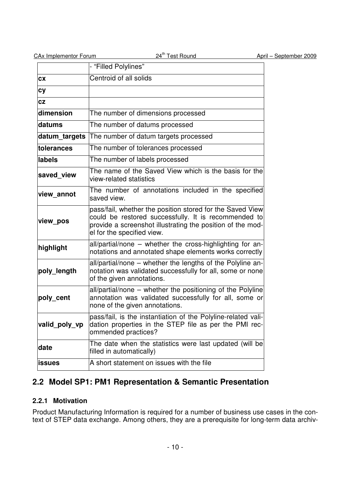| CAx Implementor Forum |  |
|-----------------------|--|
|                       |  |

|               | - "Filled Polylines"                                                                                                                                                                                          |
|---------------|---------------------------------------------------------------------------------------------------------------------------------------------------------------------------------------------------------------|
| <b>CX</b>     | Centroid of all solids                                                                                                                                                                                        |
| cy            |                                                                                                                                                                                                               |
| cz            |                                                                                                                                                                                                               |
| dimension     | The number of dimensions processed                                                                                                                                                                            |
| datums        | The number of datums processed                                                                                                                                                                                |
| datum_targets | The number of datum targets processed                                                                                                                                                                         |
| tolerances    | The number of tolerances processed                                                                                                                                                                            |
| labels        | The number of labels processed                                                                                                                                                                                |
| saved view    | The name of the Saved View which is the basis for the<br>view-related statistics                                                                                                                              |
| view_annot    | The number of annotations included in the specified<br>saved view.                                                                                                                                            |
| view_pos      | pass/fail, whether the position stored for the Saved View<br>could be restored successfully. It is recommended to<br>provide a screenshot illustrating the position of the mod-<br>el for the specified view. |
| highlight     | all/partial/none - whether the cross-highlighting for an-<br>notations and annotated shape elements works correctly                                                                                           |
| poly_length   | all/partial/none - whether the lengths of the Polyline an-<br>notation was validated successfully for all, some or none<br>of the given annotations.                                                          |
| poly_cent     | all/partial/none – whether the positioning of the Polyline<br>annotation was validated successfully for all, some or<br>none of the given annotations.                                                        |
| valid_poly_vp | pass/fail, is the instantiation of the Polyline-related vali-<br>dation properties in the STEP file as per the PMI rec-<br>ommended practices?                                                                |
| date          | The date when the statistics were last updated (will be<br>filled in automatically)                                                                                                                           |
| <b>issues</b> | A short statement on issues with the file                                                                                                                                                                     |

## **2.2 Model SP1: PM1 Representation & Semantic Presentation**

### **2.2.1 Motivation**

Product Manufacturing Information is required for a number of business use cases in the context of STEP data exchange. Among others, they are a prerequisite for long-term data archiv-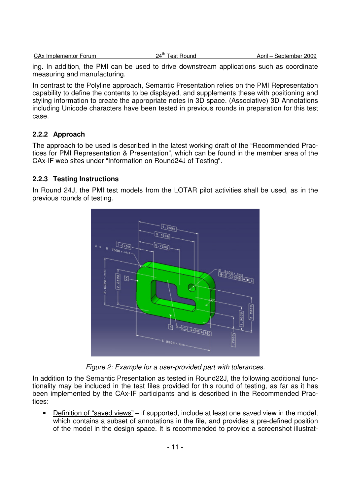|  | <b>CA<sub>x</sub></b> Implementor Forum |  |
|--|-----------------------------------------|--|
|  |                                         |  |

 $24<sup>th</sup>$  Test Round  $\qquad \qquad$  April – September 2009

ing. In addition, the PMI can be used to drive downstream applications such as coordinate measuring and manufacturing.

In contrast to the Polyline approach, Semantic Presentation relies on the PMI Representation capability to define the contents to be displayed, and supplements these with positioning and styling information to create the appropriate notes in 3D space. (Associative) 3D Annotations including Unicode characters have been tested in previous rounds in preparation for this test case.

#### **2.2.2 Approach**

The approach to be used is described in the latest working draft of the "Recommended Practices for PMI Representation & Presentation", which can be found in the member area of the CAx-IF web sites under "Information on Round24J of Testing".

#### **2.2.3 Testing Instructions**

In Round 24J, the PMI test models from the LOTAR pilot activities shall be used, as in the previous rounds of testing.



Figure 2: Example for a user-provided part with tolerances.

In addition to the Semantic Presentation as tested in Round22J, the following additional functionality may be included in the test files provided for this round of testing, as far as it has been implemented by the CAx-IF participants and is described in the Recommended Practices:

• Definition of "saved views" – if supported, include at least one saved view in the model. which contains a subset of annotations in the file, and provides a pre-defined position of the model in the design space. It is recommended to provide a screenshot illustrat-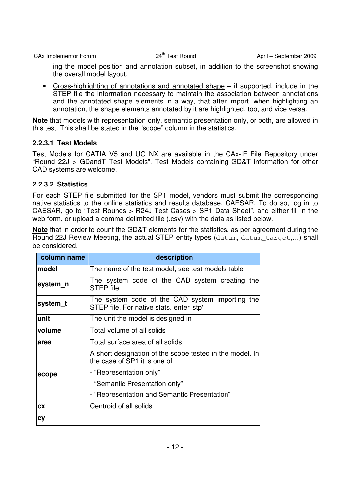ing the model position and annotation subset, in addition to the screenshot showing the overall model layout.

• Cross-highlighting of annotations and annotated shape – if supported, include in the STEP file the information necessary to maintain the association between annotations and the annotated shape elements in a way, that after import, when highlighting an annotation, the shape elements annotated by it are highlighted, too, and vice versa.

**Note** that models with representation only, semantic presentation only, or both, are allowed in this test. This shall be stated in the "scope" column in the statistics.

#### **2.2.3.1 Test Models**

Test Models for CATIA V5 and UG NX are available in the CAx-IF File Repository under "Round 22J > GDandT Test Models". Test Models containing GD&T information for other CAD systems are welcome.

#### **2.2.3.2 Statistics**

For each STEP file submitted for the SP1 model, vendors must submit the corresponding native statistics to the online statistics and results database, CAESAR. To do so, log in to CAESAR, go to "Test Rounds > R24J Test Cases > SP1 Data Sheet", and either fill in the web form, or upload a comma-delimited file (.csv) with the data as listed below.

**Note** that in order to count the GD&T elements for the statistics, as per agreement during the Round 22J Review Meeting, the actual STEP entity types (datum, datum\_target,…) shall be considered.

| column name | description                                                                                 |  |  |
|-------------|---------------------------------------------------------------------------------------------|--|--|
| model       | The name of the test model, see test models table                                           |  |  |
| system_n    | The system code of the CAD system creating the<br><b>STEP</b> file                          |  |  |
| system_t    | The system code of the CAD system importing the<br>STEP file. For native stats, enter 'stp' |  |  |
| unit        | The unit the model is designed in                                                           |  |  |
| volume      | Total volume of all solids                                                                  |  |  |
| area        | Total surface area of all solids                                                            |  |  |
|             | A short designation of the scope tested in the model. In<br>the case of SP1 it is one of    |  |  |
| scope       | - "Representation only"                                                                     |  |  |
|             | - "Semantic Presentation only"                                                              |  |  |
|             | - "Representation and Semantic Presentation"                                                |  |  |
| <b>CX</b>   | Centroid of all solids                                                                      |  |  |
| cy          |                                                                                             |  |  |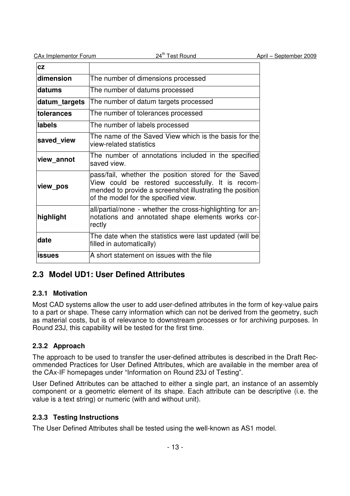| <b>CAx Implementor Forum</b> | 24 <sup>th</sup> Test Round                                                                                                                                                                                   | April - September 2009 |
|------------------------------|---------------------------------------------------------------------------------------------------------------------------------------------------------------------------------------------------------------|------------------------|
| <b>CZ</b>                    |                                                                                                                                                                                                               |                        |
| dimension                    | The number of dimensions processed                                                                                                                                                                            |                        |
| datums                       | The number of datums processed                                                                                                                                                                                |                        |
| datum_targets                | The number of datum targets processed                                                                                                                                                                         |                        |
| tolerances                   | The number of tolerances processed                                                                                                                                                                            |                        |
| labels                       | The number of labels processed                                                                                                                                                                                |                        |
| saved view                   | The name of the Saved View which is the basis for the<br>view-related statistics                                                                                                                              |                        |
| view_annot                   | The number of annotations included in the specified<br>saved view.                                                                                                                                            |                        |
| view_pos                     | pass/fail, whether the position stored for the Saved<br>View could be restored successfully. It is recom-<br>mended to provide a screenshot illustrating the position<br>of the model for the specified view. |                        |
| highlight                    | all/partial/none - whether the cross-highlighting for an-<br>notations and annotated shape elements works cor-<br>rectly                                                                                      |                        |
| date                         | The date when the statistics were last updated (will be)<br>filled in automatically)                                                                                                                          |                        |
| <b>issues</b>                | A short statement on issues with the file                                                                                                                                                                     |                        |

### **2.3 Model UD1: User Defined Attributes**

### **2.3.1 Motivation**

Most CAD systems allow the user to add user-defined attributes in the form of key-value pairs to a part or shape. These carry information which can not be derived from the geometry, such as material costs, but is of relevance to downstream processes or for archiving purposes. In Round 23J, this capability will be tested for the first time.

### **2.3.2 Approach**

The approach to be used to transfer the user-defined attributes is described in the Draft Recommended Practices for User Defined Attributes, which are available in the member area of the CAx-IF homepages under "Information on Round 23J of Testing".

User Defined Attributes can be attached to either a single part, an instance of an assembly component or a geometric element of its shape. Each attribute can be descriptive (i.e. the value is a text string) or numeric (with and without unit).

### **2.3.3 Testing Instructions**

The User Defined Attributes shall be tested using the well-known as AS1 model.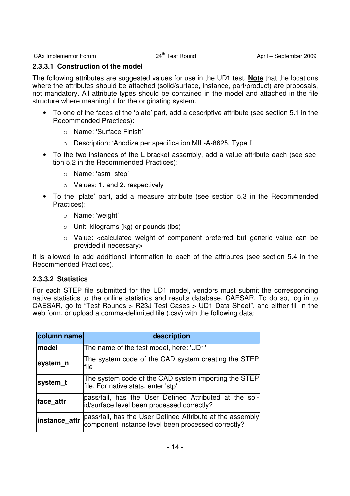#### **2.3.3.1 Construction of the model**

The following attributes are suggested values for use in the UD1 test. **Note** that the locations where the attributes should be attached (solid/surface, instance, part/product) are proposals, not mandatory. All attribute types should be contained in the model and attached in the file structure where meaningful for the originating system.

- To one of the faces of the 'plate' part, add a descriptive attribute (see section 5.1 in the Recommended Practices):
	- o Name: 'Surface Finish'
	- o Description: 'Anodize per specification MIL-A-8625, Type I'
- To the two instances of the L-bracket assembly, add a value attribute each (see section 5.2 in the Recommended Practices):
	- o Name: 'asm\_step'
	- o Values: 1. and 2. respectively
- To the 'plate' part, add a measure attribute (see section 5.3 in the Recommended Practices):
	- o Name: 'weight'
	- o Unit: kilograms (kg) or pounds (lbs)
	- o Value: <calculated weight of component preferred but generic value can be provided if necessary>

It is allowed to add additional information to each of the attributes (see section 5.4 in the Recommended Practices).

#### **2.3.3.2 Statistics**

For each STEP file submitted for the UD1 model, vendors must submit the corresponding native statistics to the online statistics and results database, CAESAR. To do so, log in to CAESAR, go to "Test Rounds > R23J Test Cases > UD1 Data Sheet", and either fill in the web form, or upload a comma-delimited file (.csv) with the following data:

| column name   | description                                                                                                     |
|---------------|-----------------------------------------------------------------------------------------------------------------|
| model         | The name of the test model, here: 'UD1'                                                                         |
| system_n      | The system code of the CAD system creating the STEP<br>file                                                     |
| system_t      | The system code of the CAD system importing the STEP<br>file. For native stats, enter 'stp'                     |
| face attr     | pass/fail, has the User Defined Attributed at the sol-<br>id/surface level been processed correctly?            |
| instance_attr | pass/fail, has the User Defined Attribute at the assembly<br>component instance level been processed correctly? |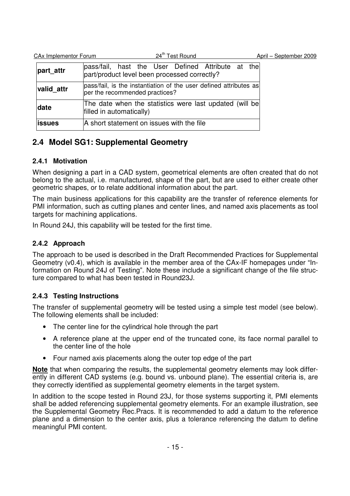| CA <sub>x</sub> Implementor Forum | 24 <sup>th</sup> Test Round                                                                         | April – September 2009 |
|-----------------------------------|-----------------------------------------------------------------------------------------------------|------------------------|
| part attr                         | pass/fail, hast the User Defined Attribute at the<br>part/product level been processed correctly?   |                        |
| valid_attr                        | pass/fail, is the instantiation of the user defined attributes as<br>per the recommended practices? |                        |
| date                              | The date when the statistics were last updated (will be<br>filled in automatically)                 |                        |
| lissues                           | A short statement on issues with the file                                                           |                        |

## **2.4 Model SG1: Supplemental Geometry**

### **2.4.1 Motivation**

When designing a part in a CAD system, geometrical elements are often created that do not belong to the actual, i.e. manufactured, shape of the part, but are used to either create other geometric shapes, or to relate additional information about the part.

The main business applications for this capability are the transfer of reference elements for PMI information, such as cutting planes and center lines, and named axis placements as tool targets for machining applications.

In Round 24J, this capability will be tested for the first time.

### **2.4.2 Approach**

The approach to be used is described in the Draft Recommended Practices for Supplemental Geometry (v0.4), which is available in the member area of the CAx-IF homepages under "Information on Round 24J of Testing". Note these include a significant change of the file structure compared to what has been tested in Round23J.

### **2.4.3 Testing Instructions**

The transfer of supplemental geometry will be tested using a simple test model (see below). The following elements shall be included:

- The center line for the cylindrical hole through the part
- A reference plane at the upper end of the truncated cone, its face normal parallel to the center line of the hole
- Four named axis placements along the outer top edge of the part

**Note** that when comparing the results, the supplemental geometry elements may look differently in different CAD systems (e.g. bound vs. unbound plane). The essential criteria is, are they correctly identified as supplemental geometry elements in the target system.

In addition to the scope tested in Round 23J, for those systems supporting it, PMI elements shall be added referencing supplemental geometry elements. For an example illustration, see the Supplemental Geometry Rec.Pracs. It is recommended to add a datum to the reference plane and a dimension to the center axis, plus a tolerance referencing the datum to define meaningful PMI content.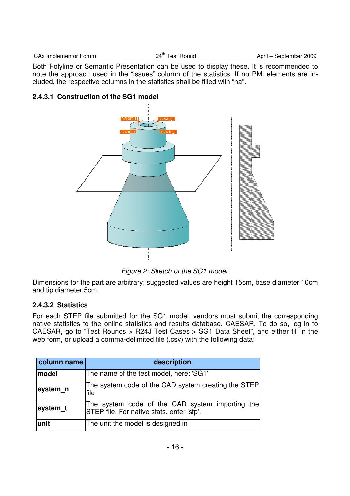| CAx Implementor Forum | $24^{\text{th}}$ $7$<br>i est Round | April<br>September 2009 |
|-----------------------|-------------------------------------|-------------------------|
|                       |                                     |                         |

Both Polyline or Semantic Presentation can be used to display these. It is recommended to note the approach used in the "issues" column of the statistics. If no PMI elements are included, the respective columns in the statistics shall be filled with "na".

### **2.4.3.1 Construction of the SG1 model**



Figure 2: Sketch of the SG1 model.

Dimensions for the part are arbitrary; suggested values are height 15cm, base diameter 10cm and tip diameter 5cm.

### **2.4.3.2 Statistics**

For each STEP file submitted for the SG1 model, vendors must submit the corresponding native statistics to the online statistics and results database, CAESAR. To do so, log in to CAESAR, go to "Test Rounds > R24J Test Cases > SG1 Data Sheet", and either fill in the web form, or upload a comma-delimited file (.csv) with the following data:

| column name | description                                                                                  |  |  |  |  |
|-------------|----------------------------------------------------------------------------------------------|--|--|--|--|
| model       | The name of the test model, here: 'SG1'                                                      |  |  |  |  |
| system n    | The system code of the CAD system creating the STEP<br>file                                  |  |  |  |  |
| system_t    | The system code of the CAD system importing the<br>STEP file. For native stats, enter 'stp'. |  |  |  |  |
| unit        | The unit the model is designed in                                                            |  |  |  |  |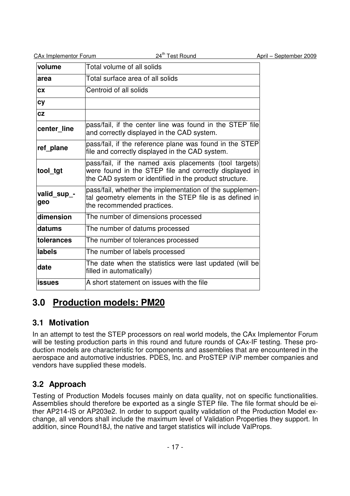| CAx Implementor Forum | 24 <sup>th</sup> Test Round                                                                                                                                                | April - September 2009 |
|-----------------------|----------------------------------------------------------------------------------------------------------------------------------------------------------------------------|------------------------|
| volume                | Total volume of all solids                                                                                                                                                 |                        |
| area                  | Total surface area of all solids                                                                                                                                           |                        |
| <b>CX</b>             | Centroid of all solids                                                                                                                                                     |                        |
| <b>cy</b>             |                                                                                                                                                                            |                        |
| CZ                    |                                                                                                                                                                            |                        |
| center line           | pass/fail, if the center line was found in the STEP file<br>and correctly displayed in the CAD system.                                                                     |                        |
| ref_plane             | pass/fail, if the reference plane was found in the STEP<br>file and correctly displayed in the CAD system.                                                                 |                        |
| tool_tgt              | pass/fail, if the named axis placements (tool targets)<br>were found in the STEP file and correctly displayed in<br>the CAD system or identified in the product structure. |                        |
| valid_sup_-<br>geo    | pass/fail, whether the implementation of the supplemen-<br>tal geometry elements in the STEP file is as defined in<br>the recommended practices.                           |                        |
| dimension             | The number of dimensions processed                                                                                                                                         |                        |
| datums                | The number of datums processed                                                                                                                                             |                        |
| tolerances            | The number of tolerances processed                                                                                                                                         |                        |
| labels                | The number of labels processed                                                                                                                                             |                        |
| date                  | The date when the statistics were last updated (will be<br>filled in automatically)                                                                                        |                        |
| <b>issues</b>         | A short statement on issues with the file                                                                                                                                  |                        |

# **3.0 Production models: PM20**

### **3.1 Motivation**

In an attempt to test the STEP processors on real world models, the CAx Implementor Forum will be testing production parts in this round and future rounds of CAx-IF testing. These production models are characteristic for components and assemblies that are encountered in the aerospace and automotive industries. PDES, Inc. and ProSTEP iViP member companies and vendors have supplied these models.

## **3.2 Approach**

Testing of Production Models focuses mainly on data quality, not on specific functionalities. Assemblies should therefore be exported as a single STEP file. The file format should be either AP214-IS or AP203e2. In order to support quality validation of the Production Model exchange, all vendors shall include the maximum level of Validation Properties they support. In addition, since Round18J, the native and target statistics will include ValProps.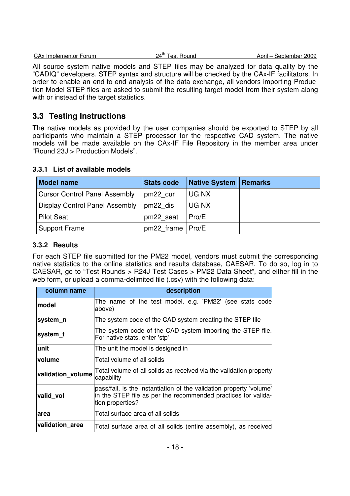| CAx Implementor Forum | 24 $^{\sf th}$ Tr | Test Round | April — | September 2009 |
|-----------------------|-------------------|------------|---------|----------------|
|                       |                   |            |         |                |

All source system native models and STEP files may be analyzed for data quality by the "CADIQ" developers. STEP syntax and structure will be checked by the CAx-IF facilitators. In order to enable an end-to-end analysis of the data exchange, all vendors importing Production Model STEP files are asked to submit the resulting target model from their system along with or instead of the target statistics.

### **3.3 Testing Instructions**

The native models as provided by the user companies should be exported to STEP by all participants who maintain a STEP processor for the respective CAD system. The native models will be made available on the CAx-IF File Repository in the member area under "Round 23J > Production Models".

| <b>Model name</b>                    | <b>Stats code</b>  | <b>Native System   Remarks</b> |  |
|--------------------------------------|--------------------|--------------------------------|--|
| <b>Cursor Control Panel Assembly</b> | pm22 cur           | UG NX                          |  |
| Display Control Panel Assembly       | pm22 dis           | UG NX                          |  |
| <b>Pilot Seat</b>                    | pm22 seat          | Pro/E                          |  |
| <b>Support Frame</b>                 | pm22 frame   Pro/E |                                |  |

### **3.3.1 List of available models**

### **3.3.2 Results**

For each STEP file submitted for the PM22 model, vendors must submit the corresponding native statistics to the online statistics and results database, CAESAR. To do so, log in to CAESAR, go to "Test Rounds > R24J Test Cases > PM22 Data Sheet", and either fill in the web form, or upload a comma-delimited file (.csv) with the following data:

| column name       | description                                                                                                                                              |  |  |  |  |
|-------------------|----------------------------------------------------------------------------------------------------------------------------------------------------------|--|--|--|--|
| <b>model</b>      | The name of the test model, e.g. 'PM22' (see stats code<br>above)                                                                                        |  |  |  |  |
| system_n          | The system code of the CAD system creating the STEP file                                                                                                 |  |  |  |  |
| system t          | The system code of the CAD system importing the STEP file.<br>For native stats, enter 'stp'                                                              |  |  |  |  |
| lunit             | The unit the model is designed in                                                                                                                        |  |  |  |  |
| volume            | Total volume of all solids                                                                                                                               |  |  |  |  |
| validation_volume | Total volume of all solids as received via the validation property<br>capability                                                                         |  |  |  |  |
| valid vol         | pass/fail, is the instantiation of the validation property 'volume'<br>in the STEP file as per the recommended practices for valida-<br>tion properties? |  |  |  |  |
| larea             | Total surface area of all solids                                                                                                                         |  |  |  |  |
| validation_area   | Total surface area of all solids (entire assembly), as received                                                                                          |  |  |  |  |